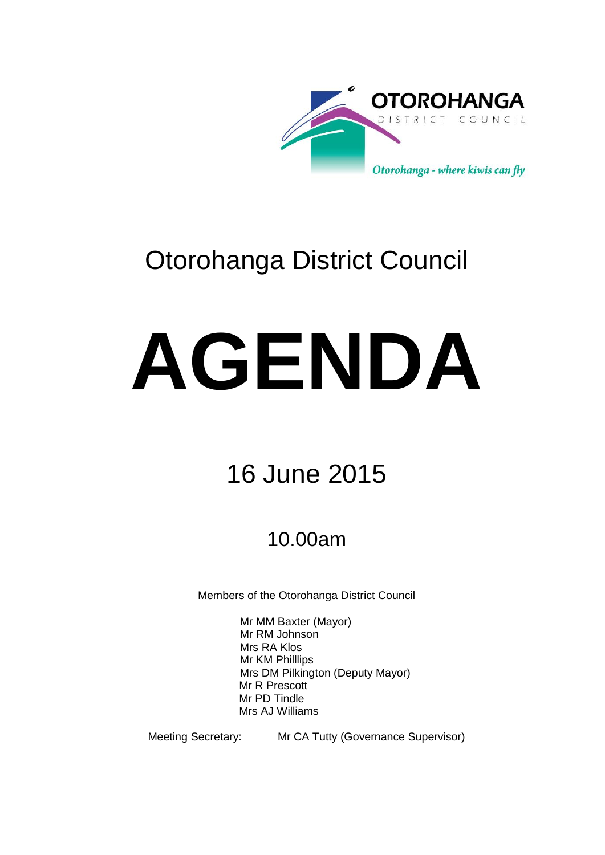

# Otorohanga District Council

# **AGENDA**

# 16 June 2015

## 10.00am

Members of the Otorohanga District Council

Mr MM Baxter (Mayor) Mr RM Johnson Mrs RA Klos Mr KM Philllips Mrs DM Pilkington (Deputy Mayor) Mr R Prescott Mr PD Tindle Mrs AJ Williams

Meeting Secretary: Mr CA Tutty (Governance Supervisor)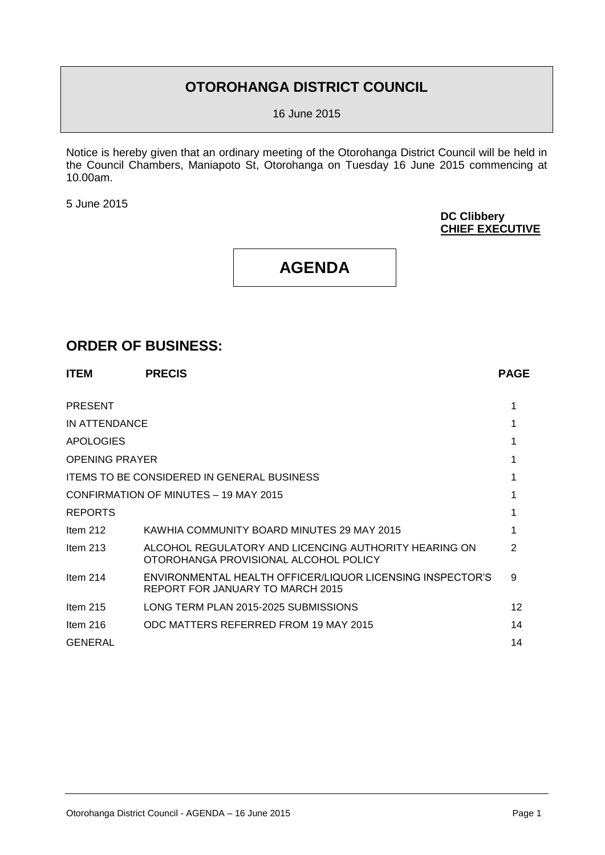### **OTOROHANGA DISTRICT COUNCIL**

16 June 2015

Notice is hereby given that an ordinary meeting of the Otorohanga District Council will be held in the Council Chambers, Maniapoto St, Otorohanga on Tuesday 16 June 2015 commencing at 10.00am.

5 June 2015

#### **DC Clibbery CHIEF EXECUTIVE**

## **AGENDA**

#### **ORDER OF BUSINESS:**

| <b>ITEM</b>           | <b>PRECIS</b>                                                                                  | <b>PAGE</b>     |
|-----------------------|------------------------------------------------------------------------------------------------|-----------------|
| <b>PRESENT</b>        |                                                                                                |                 |
| IN ATTENDANCE         |                                                                                                |                 |
| APOLOGIES             |                                                                                                |                 |
| <b>OPENING PRAYER</b> |                                                                                                |                 |
|                       | <b>ITEMS TO BE CONSIDERED IN GENERAL BUSINESS</b>                                              |                 |
|                       | CONFIRMATION OF MINUTES - 19 MAY 2015                                                          |                 |
| <b>REPORTS</b>        |                                                                                                |                 |
| Item $212$            | KAWHIA COMMUNITY BOARD MINUTES 29 MAY 2015                                                     |                 |
| Item $213$            | ALCOHOL REGULATORY AND LICENCING AUTHORITY HEARING ON<br>OTOROHANGA PROVISIONAL ALCOHOL POLICY | 2               |
| Item $214$            | ENVIRONMENTAL HEALTH OFFICER/LIQUOR LICENSING INSPECTOR'S<br>REPORT FOR JANUARY TO MARCH 2015  | 9               |
| Item $215$            | LONG TERM PLAN 2015-2025 SUBMISSIONS                                                           | 12 <sup>2</sup> |
| Item $216$            | ODC MATTERS REFERRED FROM 19 MAY 2015                                                          | 14              |
| <b>GENERAL</b>        |                                                                                                | 14              |
|                       |                                                                                                |                 |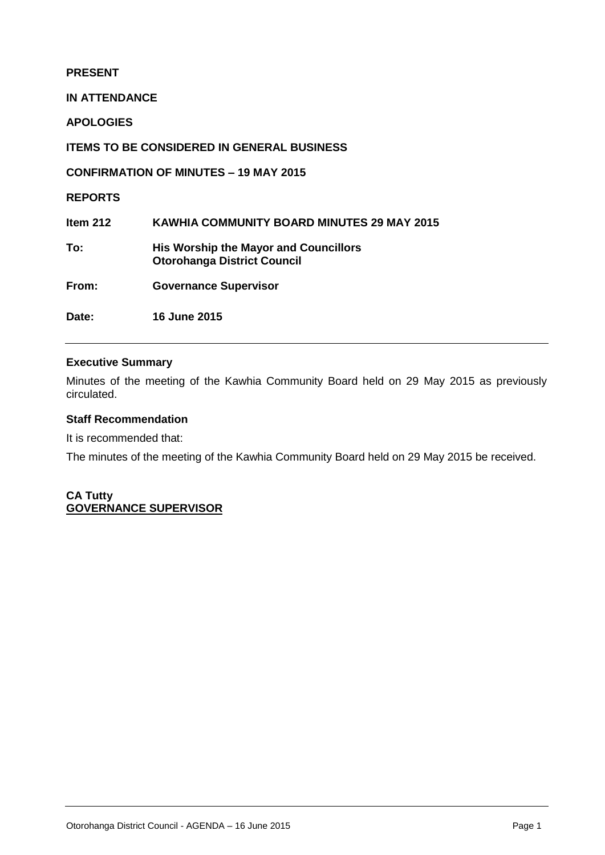#### **PRESENT**

**IN ATTENDANCE**

**APOLOGIES**

**ITEMS TO BE CONSIDERED IN GENERAL BUSINESS**

**CONFIRMATION OF MINUTES – 19 MAY 2015**

**REPORTS**

**Item 212 KAWHIA COMMUNITY BOARD MINUTES 29 MAY 2015 To: His Worship the Mayor and Councillors Otorohanga District Council From: Governance Supervisor**

**Date: 16 June 2015**

#### **Executive Summary**

Minutes of the meeting of the Kawhia Community Board held on 29 May 2015 as previously circulated.

#### **Staff Recommendation**

It is recommended that:

The minutes of the meeting of the Kawhia Community Board held on 29 May 2015 be received.

**CA Tutty GOVERNANCE SUPERVISOR**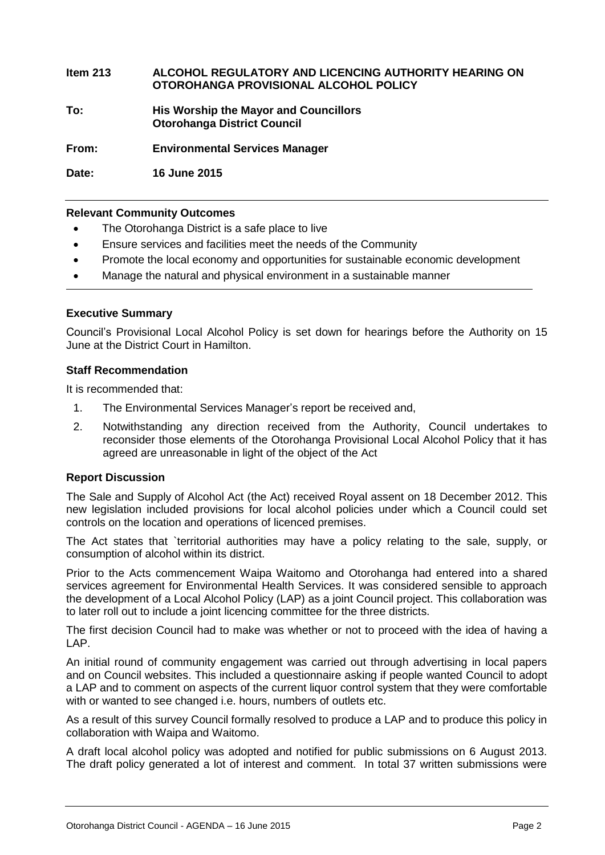#### **Item 213 ALCOHOL REGULATORY AND LICENCING AUTHORITY HEARING ON OTOROHANGA PROVISIONAL ALCOHOL POLICY**

**To: His Worship the Mayor and Councillors Otorohanga District Council**

**From: Environmental Services Manager**

**Date: 16 June 2015**

#### **Relevant Community Outcomes**

- The Otorohanga District is a safe place to live
- Ensure services and facilities meet the needs of the Community
- Promote the local economy and opportunities for sustainable economic development
- Manage the natural and physical environment in a sustainable manner

#### **Executive Summary**

Council's Provisional Local Alcohol Policy is set down for hearings before the Authority on 15 June at the District Court in Hamilton.

#### **Staff Recommendation**

It is recommended that:

- 1. The Environmental Services Manager's report be received and,
- 2. Notwithstanding any direction received from the Authority, Council undertakes to reconsider those elements of the Otorohanga Provisional Local Alcohol Policy that it has agreed are unreasonable in light of the object of the Act

#### **Report Discussion**

The Sale and Supply of Alcohol Act (the Act) received Royal assent on 18 December 2012. This new legislation included provisions for local alcohol policies under which a Council could set controls on the location and operations of licenced premises.

The Act states that `territorial authorities may have a policy relating to the sale, supply, or consumption of alcohol within its district.

Prior to the Acts commencement Waipa Waitomo and Otorohanga had entered into a shared services agreement for Environmental Health Services. It was considered sensible to approach the development of a Local Alcohol Policy (LAP) as a joint Council project. This collaboration was to later roll out to include a joint licencing committee for the three districts.

The first decision Council had to make was whether or not to proceed with the idea of having a LAP.

An initial round of community engagement was carried out through advertising in local papers and on Council websites. This included a questionnaire asking if people wanted Council to adopt a LAP and to comment on aspects of the current liquor control system that they were comfortable with or wanted to see changed i.e. hours, numbers of outlets etc.

As a result of this survey Council formally resolved to produce a LAP and to produce this policy in collaboration with Waipa and Waitomo.

A draft local alcohol policy was adopted and notified for public submissions on 6 August 2013. The draft policy generated a lot of interest and comment. In total 37 written submissions were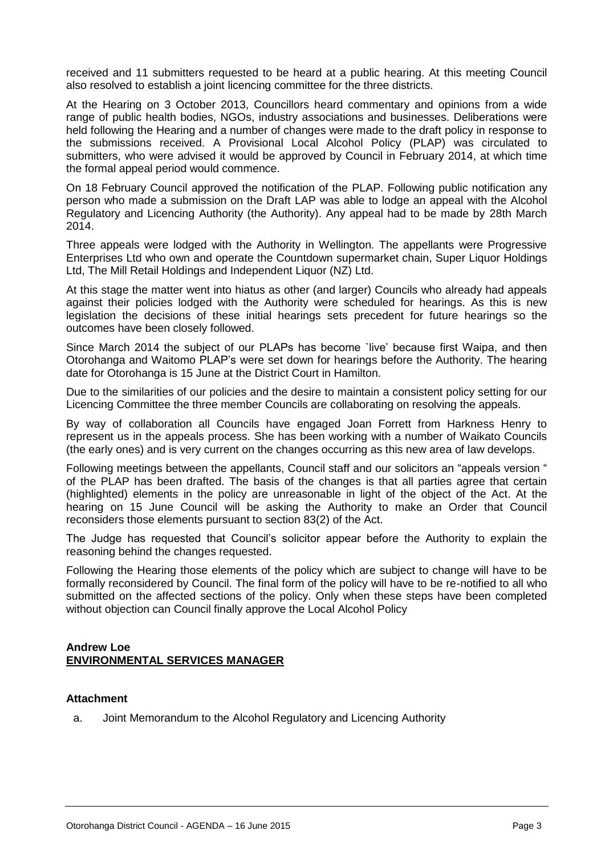received and 11 submitters requested to be heard at a public hearing. At this meeting Council also resolved to establish a joint licencing committee for the three districts.

At the Hearing on 3 October 2013, Councillors heard commentary and opinions from a wide range of public health bodies, NGOs, industry associations and businesses. Deliberations were held following the Hearing and a number of changes were made to the draft policy in response to the submissions received. A Provisional Local Alcohol Policy (PLAP) was circulated to submitters, who were advised it would be approved by Council in February 2014, at which time the formal appeal period would commence.

On 18 February Council approved the notification of the PLAP. Following public notification any person who made a submission on the Draft LAP was able to lodge an appeal with the Alcohol Regulatory and Licencing Authority (the Authority). Any appeal had to be made by 28th March 2014.

Three appeals were lodged with the Authority in Wellington. The appellants were Progressive Enterprises Ltd who own and operate the Countdown supermarket chain, Super Liquor Holdings Ltd, The Mill Retail Holdings and Independent Liquor (NZ) Ltd.

At this stage the matter went into hiatus as other (and larger) Councils who already had appeals against their policies lodged with the Authority were scheduled for hearings. As this is new legislation the decisions of these initial hearings sets precedent for future hearings so the outcomes have been closely followed.

Since March 2014 the subject of our PLAPs has become 'live' because first Waipa, and then Otorohanga and Waitomo PLAP's were set down for hearings before the Authority. The hearing date for Otorohanga is 15 June at the District Court in Hamilton.

Due to the similarities of our policies and the desire to maintain a consistent policy setting for our Licencing Committee the three member Councils are collaborating on resolving the appeals.

By way of collaboration all Councils have engaged Joan Forrett from Harkness Henry to represent us in the appeals process. She has been working with a number of Waikato Councils (the early ones) and is very current on the changes occurring as this new area of law develops.

Following meetings between the appellants, Council staff and our solicitors an "appeals version " of the PLAP has been drafted. The basis of the changes is that all parties agree that certain (highlighted) elements in the policy are unreasonable in light of the object of the Act. At the hearing on 15 June Council will be asking the Authority to make an Order that Council reconsiders those elements pursuant to section 83(2) of the Act.

The Judge has requested that Council's solicitor appear before the Authority to explain the reasoning behind the changes requested.

Following the Hearing those elements of the policy which are subject to change will have to be formally reconsidered by Council. The final form of the policy will have to be re-notified to all who submitted on the affected sections of the policy. Only when these steps have been completed without objection can Council finally approve the Local Alcohol Policy

#### **Andrew Loe ENVIRONMENTAL SERVICES MANAGER**

#### **Attachment**

a. Joint Memorandum to the Alcohol Regulatory and Licencing Authority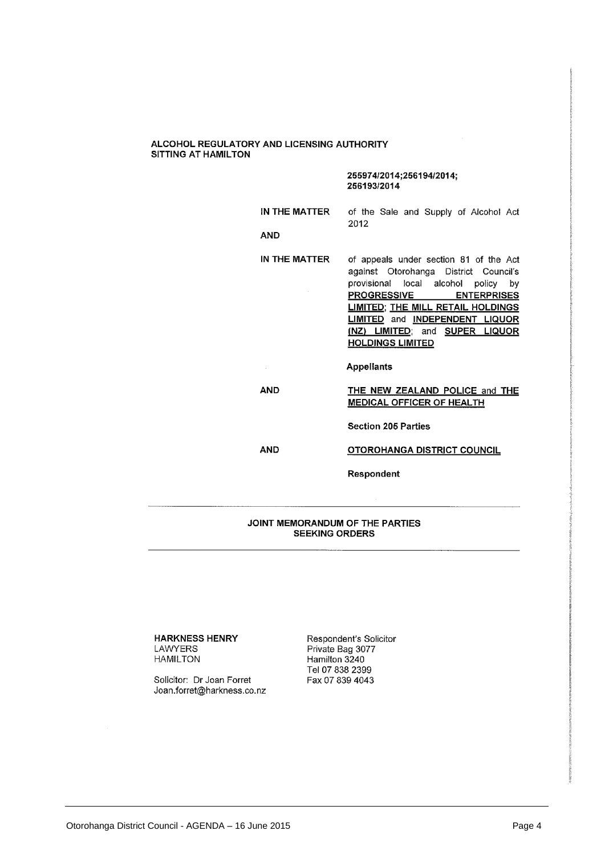#### ALCOHOL REGULATORY AND LICENSING AUTHORITY SITTING AT HAMILTON

#### 255974/2014;256194/2014; 256193/2014

|               |      | provisional local alcohol policy by    |
|---------------|------|----------------------------------------|
|               |      | against Otorohanga District Council's  |
| IN THE MATTER |      | of appeals under section 81 of the Act |
| AND           |      |                                        |
|               | 2012 |                                        |
| IN THE MATTER |      | of the Sale and Supply of Alcohol Act  |

**PROGRESSIVE ENTERPRISES LIMITED; THE MILL RETAIL HOLDINGS LIMITED** and **INDEPENDENT LIQUOR** (NZ) LIMITED; and SUPER LIQUOR **HOLDINGS LIMITED** 

**Appellants** 

**AND** 

 $\bar{z}$ 

#### THE NEW ZEALAND POLICE and THE **MEDICAL OFFICER OF HEALTH**

**Section 205 Parties** 

**AND** 

#### **OTOROHANGA DISTRICT COUNCIL**

Respondent

#### JOINT MEMORANDUM OF THE PARTIES **SEEKING ORDERS**

**HARKNESS HENRY** LAWYERS **HAMILTON** 

Solicitor: Dr Joan Forret Joan.forret@harkness.co.nz

Respondent's Solicitor Private Bag 3077 Hamilton 3240 Tel 07 838 2399 Fax 07 839 4043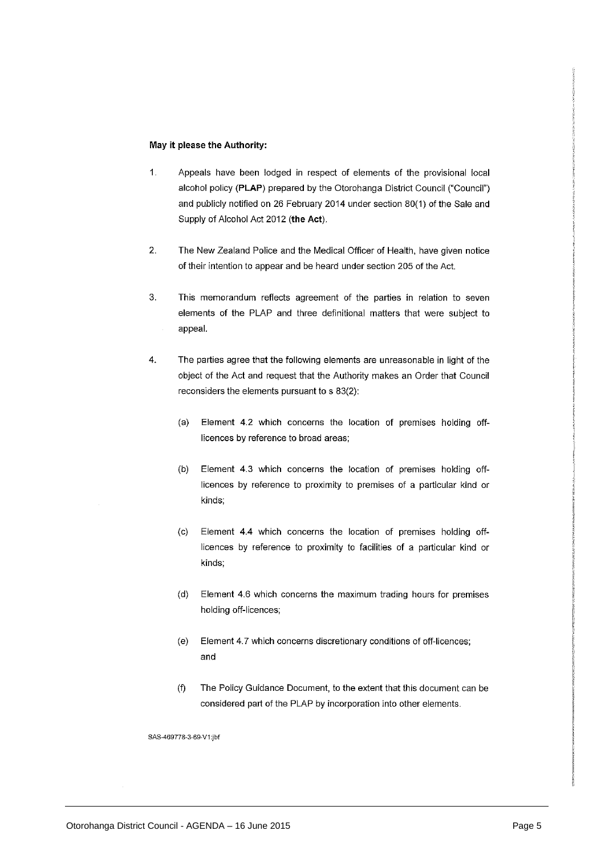#### May it please the Authority:

- $\mathbf{1}$ . Appeals have been lodged in respect of elements of the provisional local alcohol policy (PLAP) prepared by the Otorohanga District Council ("Council") and publicly notified on 26 February 2014 under section 80(1) of the Sale and Supply of Alcohol Act 2012 (the Act).
- $\overline{2}$ . The New Zealand Police and the Medical Officer of Health, have given notice of their intention to appear and be heard under section 205 of the Act.
- 3. This memorandum reflects agreement of the parties in relation to seven elements of the PLAP and three definitional matters that were subject to appeal.
- The parties agree that the following elements are unreasonable in light of the 4. object of the Act and request that the Authority makes an Order that Council reconsiders the elements pursuant to s 83(2):
	- $(a)$ Element 4.2 which concerns the location of premises holding offlicences by reference to broad areas;
	- Element 4.3 which concerns the location of premises holding off- $(b)$ licences by reference to proximity to premises of a particular kind or kinds;
	- Element 4.4 which concerns the location of premises holding off- $(c)$ licences by reference to proximity to facilities of a particular kind or kinds:
	- $(d)$ Element 4.6 which concerns the maximum trading hours for premises holding off-licences;
	- $(e)$ Element 4.7 which concerns discretionary conditions of off-licences; and
	- $(f)$ The Policy Guidance Document, to the extent that this document can be considered part of the PLAP by incorporation into other elements.

SAS-469778-3-69-V1:jbf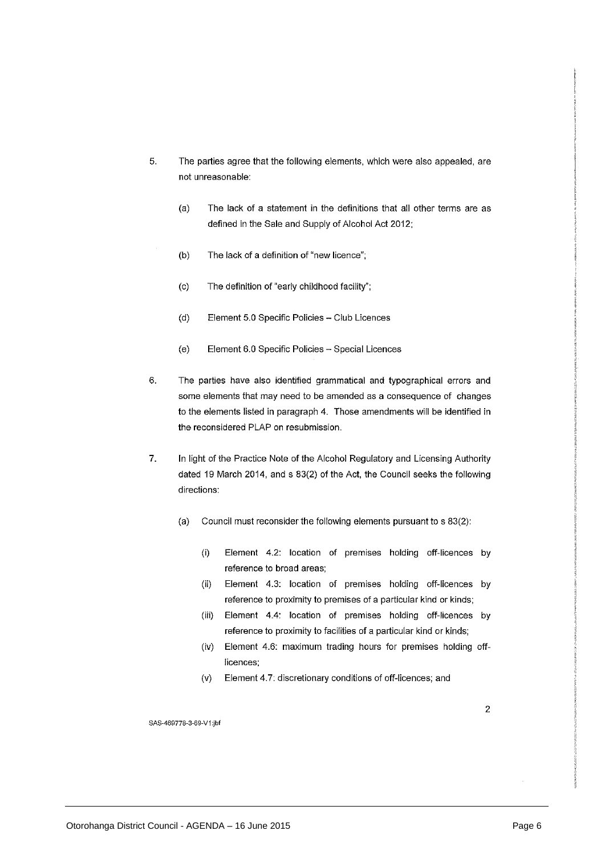- 5. The parties agree that the following elements, which were also appealed, are not unreasonable:
	- The lack of a statement in the definitions that all other terms are as  $(a)$ defined in the Sale and Supply of Alcohol Act 2012;
	- $(b)$ The lack of a definition of "new licence":
	- The definition of "early childhood facility";  $(c)$
	- $(d)$ Element 5.0 Specific Policies - Club Licences
	- $(e)$ Element 6.0 Specific Policies - Special Licences
- 6. The parties have also identified grammatical and typographical errors and some elements that may need to be amended as a consequence of changes to the elements listed in paragraph 4. Those amendments will be identified in the reconsidered PLAP on resubmission.
- 7. In light of the Practice Note of the Alcohol Regulatory and Licensing Authority dated 19 March 2014, and s 83(2) of the Act, the Council seeks the following directions:
	- $(a)$ Council must reconsider the following elements pursuant to s 83(2):
		- $(i)$ Element 4.2: location of premises holding off-licences by reference to broad areas;
		- Element 4.3: location of premises holding off-licences by  $(ii)$ reference to proximity to premises of a particular kind or kinds;
		- $(iii)$ Element 4.4: location of premises holding off-licences by reference to proximity to facilities of a particular kind or kinds;
		- $(iv)$ Element 4.6: maximum trading hours for premises holding offlicences;
		- Element 4.7: discretionary conditions of off-licences; and  $(v)$

 $\overline{2}$ 

SAS-469778-3-69-V1:jbf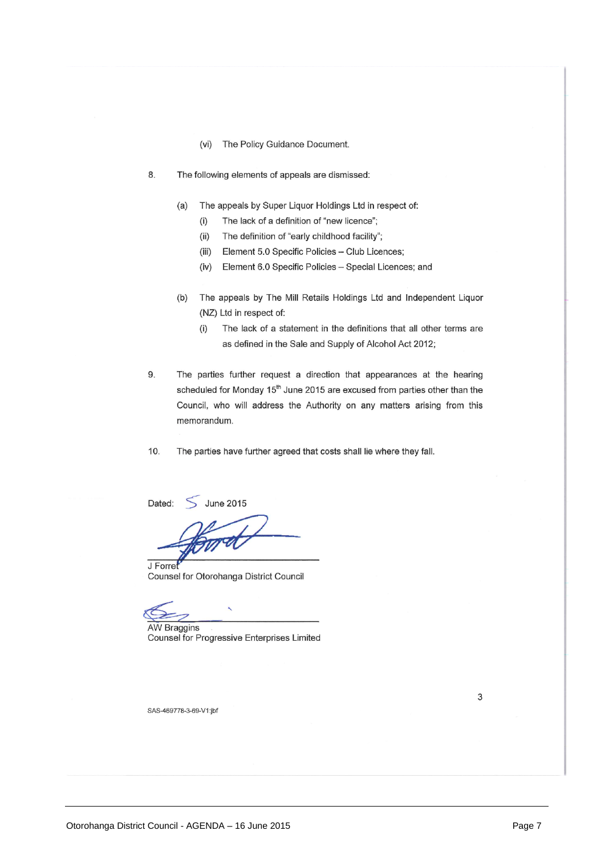- The Policy Guidance Document.  $(vi)$
- 8. The following elements of appeals are dismissed:
	- The appeals by Super Liquor Holdings Ltd in respect of:  $(a)$ 
		- The lack of a definition of "new licence";  $(i)$
		- $(ii)$ The definition of "early childhood facility";
		- (iii) Element 5.0 Specific Policies Club Licences;
		- (iv) Element 6.0 Specific Policies Special Licences; and
	- $(b)$ The appeals by The Mill Retails Holdings Ltd and Independent Liquor (NZ) Ltd in respect of:
		- The lack of a statement in the definitions that all other terms are  $(i)$ as defined in the Sale and Supply of Alcohol Act 2012;
- 9. The parties further request a direction that appearances at the hearing scheduled for Monday 15<sup>th</sup> June 2015 are excused from parties other than the Council, who will address the Authority on any matters arising from this memorandum.
- 10. The parties have further agreed that costs shall lie where they fall.

Dated:  $\leq$  June 2015

J Forret Counsel for Otorohanga District Council

**AW Braggins** Counsel for Progressive Enterprises Limited

SAS-469778-3-69-V1:jbf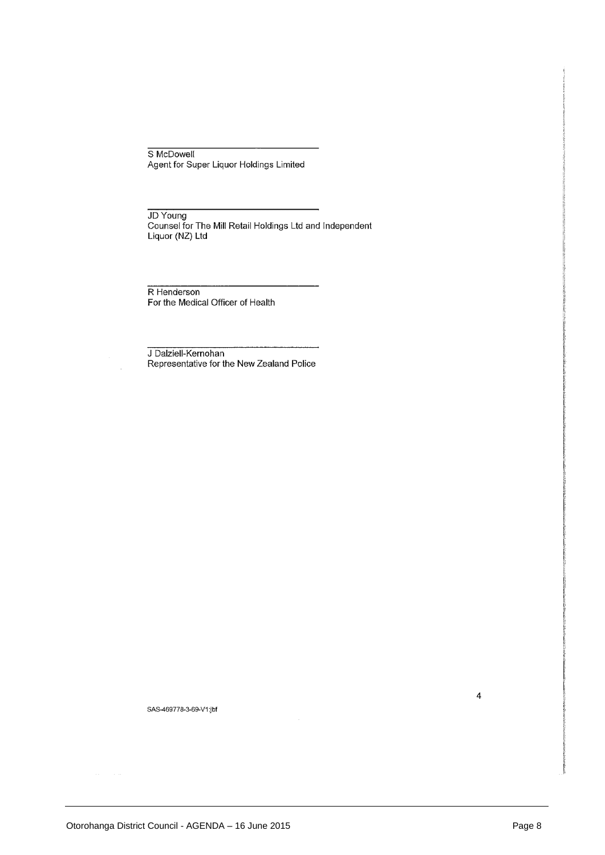S McDowell Agent for Super Liquor Holdings Limited

JD Young Counsel for The Mill Retail Holdings Ltd and Independent Liquor (NZ) Ltd

R Henderson For the Medical Officer of Health

J Dalziell-Kernohan Representative for the New Zealand Police

SAS-469778-3-69-V1;jbf

 $\overline{\mathbf{4}}$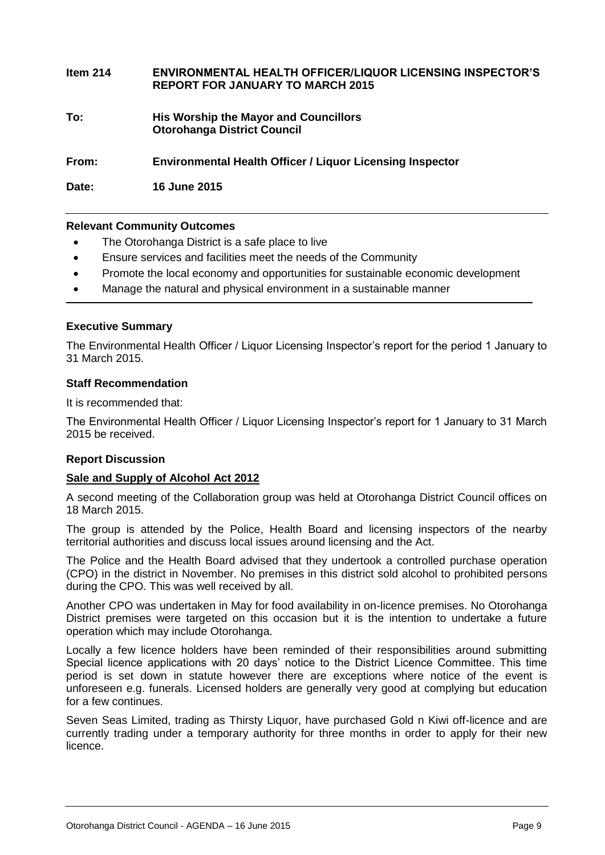| Item $214$ | <b>ENVIRONMENTAL HEALTH OFFICER/LIQUOR LICENSING INSPECTOR'S</b><br><b>REPORT FOR JANUARY TO MARCH 2015</b> |
|------------|-------------------------------------------------------------------------------------------------------------|
| To:        | His Worship the Mayor and Councillors<br><b>Otorohanga District Council</b>                                 |
| From:      | <b>Environmental Health Officer / Liquor Licensing Inspector</b>                                            |

**Date: 16 June 2015**

#### **Relevant Community Outcomes**

- The Otorohanga District is a safe place to live
- Ensure services and facilities meet the needs of the Community
- Promote the local economy and opportunities for sustainable economic development
- Manage the natural and physical environment in a sustainable manner

#### **Executive Summary**

The Environmental Health Officer / Liquor Licensing Inspector's report for the period 1 January to 31 March 2015.

#### **Staff Recommendation**

It is recommended that:

The Environmental Health Officer / Liquor Licensing Inspector's report for 1 January to 31 March 2015 be received.

#### **Report Discussion**

#### **Sale and Supply of Alcohol Act 2012**

A second meeting of the Collaboration group was held at Otorohanga District Council offices on 18 March 2015.

The group is attended by the Police, Health Board and licensing inspectors of the nearby territorial authorities and discuss local issues around licensing and the Act.

The Police and the Health Board advised that they undertook a controlled purchase operation (CPO) in the district in November. No premises in this district sold alcohol to prohibited persons during the CPO. This was well received by all.

Another CPO was undertaken in May for food availability in on-licence premises. No Otorohanga District premises were targeted on this occasion but it is the intention to undertake a future operation which may include Otorohanga.

Locally a few licence holders have been reminded of their responsibilities around submitting Special licence applications with 20 days' notice to the District Licence Committee. This time period is set down in statute however there are exceptions where notice of the event is unforeseen e.g. funerals. Licensed holders are generally very good at complying but education for a few continues.

Seven Seas Limited, trading as Thirsty Liquor, have purchased Gold n Kiwi off-licence and are currently trading under a temporary authority for three months in order to apply for their new licence.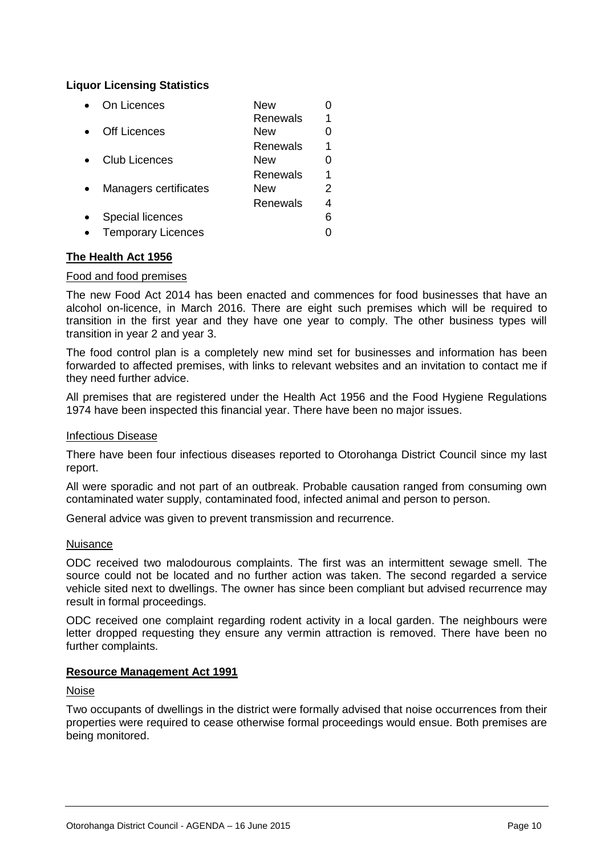#### **Liquor Licensing Statistics**

| On Licences               | New      |   |
|---------------------------|----------|---|
|                           | Renewals |   |
| <b>Off Licences</b>       | New      |   |
|                           | Renewals | 1 |
| <b>Club Licences</b>      | New      |   |
|                           | Renewals | 1 |
| Managers certificates     | New      | 2 |
|                           | Renewals | 4 |
| <b>Special licences</b>   |          | 6 |
| <b>Temporary Licences</b> |          |   |

#### **The Health Act 1956**

#### Food and food premises

The new Food Act 2014 has been enacted and commences for food businesses that have an alcohol on-licence, in March 2016. There are eight such premises which will be required to transition in the first year and they have one year to comply. The other business types will transition in year 2 and year 3.

The food control plan is a completely new mind set for businesses and information has been forwarded to affected premises, with links to relevant websites and an invitation to contact me if they need further advice.

All premises that are registered under the Health Act 1956 and the Food Hygiene Regulations 1974 have been inspected this financial year. There have been no major issues.

#### Infectious Disease

There have been four infectious diseases reported to Otorohanga District Council since my last report.

All were sporadic and not part of an outbreak. Probable causation ranged from consuming own contaminated water supply, contaminated food, infected animal and person to person.

General advice was given to prevent transmission and recurrence.

#### Nuisance

ODC received two malodourous complaints. The first was an intermittent sewage smell. The source could not be located and no further action was taken. The second regarded a service vehicle sited next to dwellings. The owner has since been compliant but advised recurrence may result in formal proceedings.

ODC received one complaint regarding rodent activity in a local garden. The neighbours were letter dropped requesting they ensure any vermin attraction is removed. There have been no further complaints.

#### **Resource Management Act 1991**

#### Noise

Two occupants of dwellings in the district were formally advised that noise occurrences from their properties were required to cease otherwise formal proceedings would ensue. Both premises are being monitored.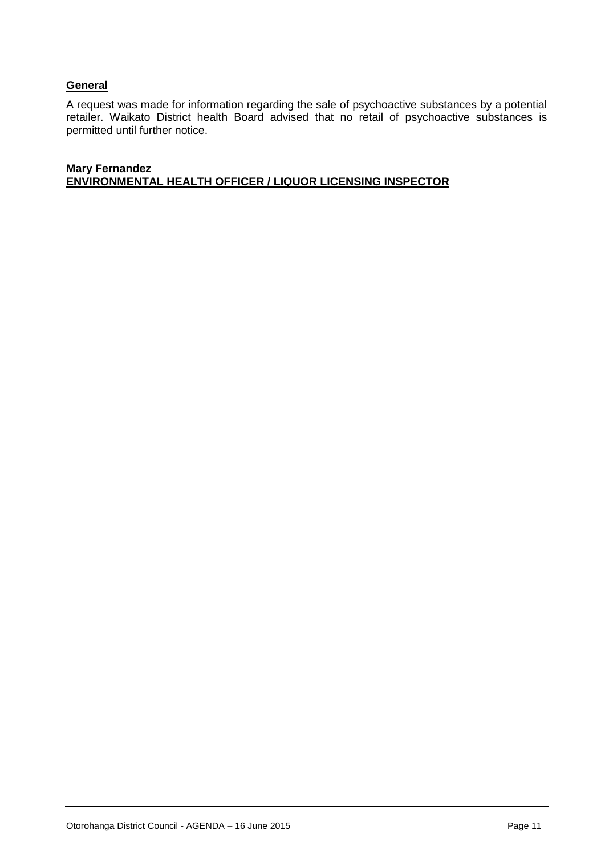#### **General**

A request was made for information regarding the sale of psychoactive substances by a potential retailer. Waikato District health Board advised that no retail of psychoactive substances is permitted until further notice.

#### **Mary Fernandez ENVIRONMENTAL HEALTH OFFICER / LIQUOR LICENSING INSPECTOR**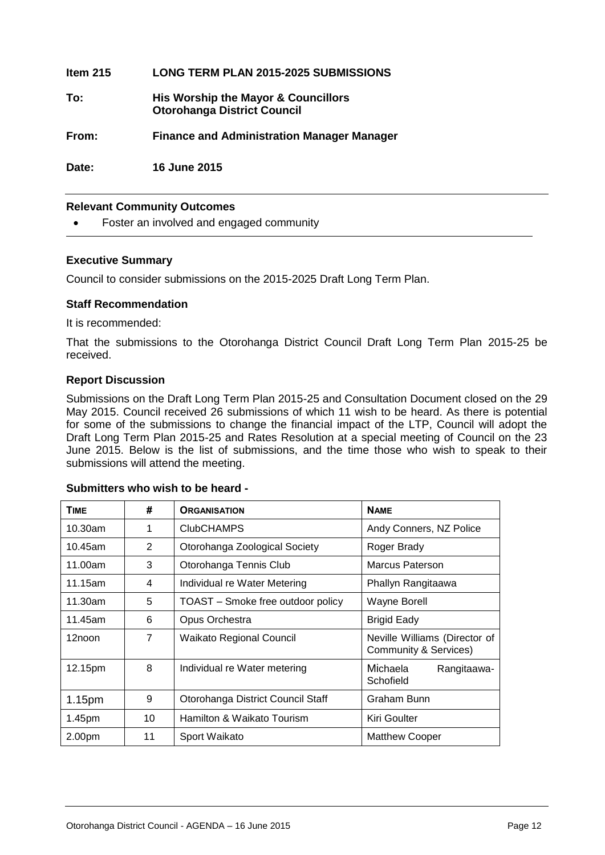| ltem 215 | <b>LONG TERM PLAN 2015-2025 SUBMISSIONS</b>                               |
|----------|---------------------------------------------------------------------------|
| To:      | His Worship the Mayor & Councillors<br><b>Otorohanga District Council</b> |
| From:    | <b>Finance and Administration Manager Manager</b>                         |
| Date:    | <b>16 June 2015</b>                                                       |

#### **Relevant Community Outcomes**

Foster an involved and engaged community

#### **Executive Summary**

Council to consider submissions on the 2015-2025 Draft Long Term Plan.

#### **Staff Recommendation**

It is recommended:

That the submissions to the Otorohanga District Council Draft Long Term Plan 2015-25 be received.

#### **Report Discussion**

Submissions on the Draft Long Term Plan 2015-25 and Consultation Document closed on the 29 May 2015. Council received 26 submissions of which 11 wish to be heard. As there is potential for some of the submissions to change the financial impact of the LTP, Council will adopt the Draft Long Term Plan 2015-25 and Rates Resolution at a special meeting of Council on the 23 June 2015. Below is the list of submissions, and the time those who wish to speak to their submissions will attend the meeting.

| <b>TIME</b>        | #  | <b>ORGANISATION</b>               | <b>NAME</b>                                                       |
|--------------------|----|-----------------------------------|-------------------------------------------------------------------|
| $10.30$ am         | 1  | <b>ClubCHAMPS</b>                 | Andy Conners, NZ Police                                           |
| 10.45am            | 2  | Otorohanga Zoological Society     | Roger Brady                                                       |
| 11.00am            | 3  | Otorohanga Tennis Club            | Marcus Paterson                                                   |
| 11.15am            | 4  | Individual re Water Metering      | Phallyn Rangitaawa                                                |
| 11.30am            | 5  | TOAST – Smoke free outdoor policy | Wayne Borell                                                      |
| 11.45am            | 6  | Opus Orchestra                    | <b>Brigid Eady</b>                                                |
| 12noon             | 7  | <b>Waikato Regional Council</b>   | Neville Williams (Director of<br><b>Community &amp; Services)</b> |
| 12.15pm            | 8  | Individual re Water metering      | Michaela<br>Rangitaawa-<br>Schofield                              |
| 1.15 <sub>pm</sub> | 9  | Otorohanga District Council Staff | Graham Bunn                                                       |
| 1.45pm             | 10 | Hamilton & Waikato Tourism        | Kiri Goulter                                                      |
| 2.00pm             | 11 | Sport Waikato                     | Matthew Cooper                                                    |

#### **Submitters who wish to be heard -**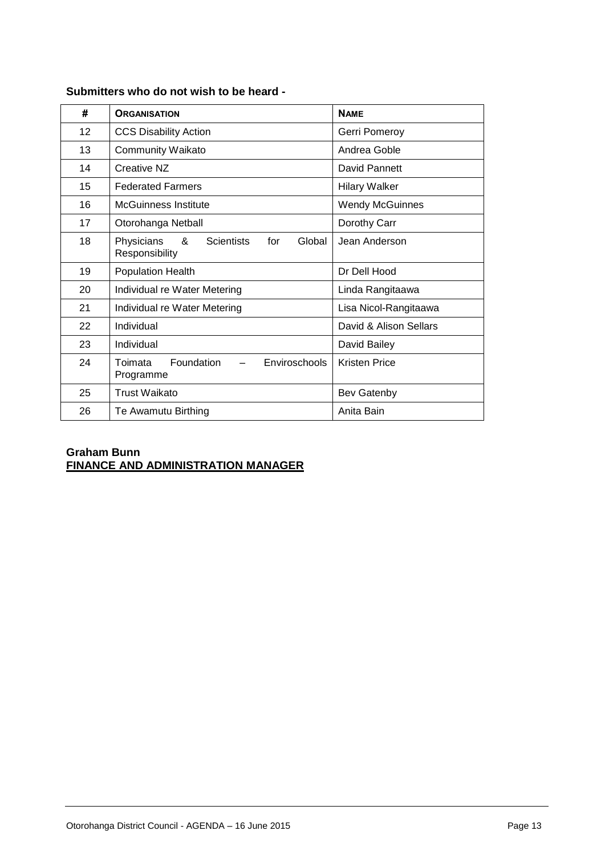| #  | <b>ORGANISATION</b>                                                             | <b>NAME</b>            |
|----|---------------------------------------------------------------------------------|------------------------|
| 12 | <b>CCS Disability Action</b>                                                    | Gerri Pomeroy          |
| 13 | <b>Community Waikato</b>                                                        | Andrea Goble           |
| 14 | Creative NZ                                                                     | David Pannett          |
| 15 | <b>Federated Farmers</b>                                                        | <b>Hilary Walker</b>   |
| 16 | McGuinness Institute                                                            | <b>Wendy McGuinnes</b> |
| 17 | Otorohanga Netball                                                              | Dorothy Carr           |
| 18 | &<br>Physicians<br><b>Scientists</b><br>Global<br>for<br>Responsibility         | Jean Anderson          |
| 19 | <b>Population Health</b>                                                        | Dr Dell Hood           |
| 20 | Individual re Water Metering                                                    | Linda Rangitaawa       |
| 21 | Individual re Water Metering                                                    | Lisa Nicol-Rangitaawa  |
| 22 | Individual                                                                      | David & Alison Sellars |
| 23 | Individual                                                                      | David Bailey           |
| 24 | <b>Foundation</b><br>Enviroschools<br>Toimata<br>$\qquad \qquad -$<br>Programme | <b>Kristen Price</b>   |
| 25 | Trust Waikato                                                                   | Bev Gatenby            |
| 26 | Te Awamutu Birthing                                                             | Anita Bain             |

#### **Submitters who do not wish to be heard -**

#### **Graham Bunn FINANCE AND ADMINISTRATION MANAGER**